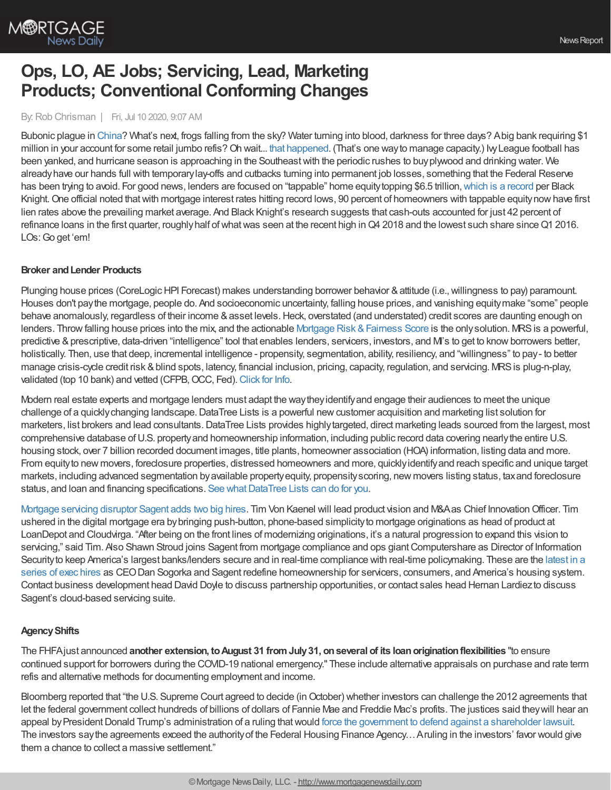

# **Ops, LO, AE Jobs; Servicing, Lead, Marketing Products; Conventional Conforming Changes**

## By:Rob Chrisman | Fri, Jul 10 2020, 9:07 AM

Bubonic plague in [China](https://www.contagionlive.com/news/china-confirms-case-of-bubonic-plague)? What's next, frogs falling from the sky? Water turning into blood, darkness for three days? Abig bank requiring \$1 million in your account for some retail jumbo refis? Oh wait... that [happened](https://www.pymnts.com/news/banking/2020/wells-fargo-sets-new-requirements-for-jumbo-mortgages-may-reduce-workforce/). (That's one way to manage capacity.) Ivy League football has been yanked, and hurricane season is approaching in the Southeastwith the periodic rushes to buyplywood and drinking water. We alreadyhave our hands full with temporarylay-offs and cutbacks turning into permanent job losses, something that the Federal Reserve has been trying to avoid. For good news, lenders are focused on "tappable" home equity topping \$6.5 trillion, which is a [record](https://www.blackknightinc.com/black-knights-may-2020-mortgage-monitor/) per Black Knight. One official noted that with mortgage interest rates hitting record lows, 90 percent of homeowners with tappable equity now have first lien rates above the prevailing market average. And Black Knight's research suggests that cash-outs accounted for just 42 percent of refinance loans in the first quarter, roughly half of what was seen at the recent high in Q4 2018 and the lowest such share since Q1 2016. LOs:Go get 'em!

## **Broker andLender Products**

Plunging house prices (CoreLogic HPI Forecast) makes understanding borrower behavior & attitude (i.e., willingness to pay) paramount. Houses don't paythe mortgage, people do. And socioeconomic uncertainty, falling house prices, and vanishing equitymake "some" people behave anomalously, regardless of their income & asset levels. Heck, overstated (and understated) credit scores are daunting enough on lenders. Throw falling house prices into the mix, and the actionable Mortgage Risk & Fairness Score is the only solution. MRS is a powerful, predictive & prescriptive, data-driven "intelligence" tool that enables lenders, servicers, investors, and M's to get to know borrowers better, holistically. Then, use that deep, incremental intelligence - propensity, segmentation, ability, resiliency, and "willingness" to pay- to better manage crisis-cycle credit risk & blind spots, latency, financial inclusion, pricing, capacity, regulation, and servicing. MRS is plug-n-play, validated (top 10 bank) and vetted (CFPB, OCC, Fed). [Click](https://www.aliyamortgage.com/mortgage-risk-score/) for Info.

Modern real estate experts and mortgage lenders must adapt the waytheyidentifyand engage their audiences to meet the unique challenge of a quicklychanging landscape.DataTree Lists is a powerful newcustomer acquisition and marketing list solution for marketers, list brokers and lead consultants. DataTree Lists provides highly targeted, direct marketing leads sourced from the largest, most comprehensive database ofU.S. propertyand homeownership information, including public record data covering nearlythe entire U.S. housing stock, over 7 billion recorded document images, title plants, homeowner association (HOA) information, listing data and more. From equityto new movers, foreclosure properties, distressed homeowners and more, quicklyidentifyand reach specific and unique target markets, including advanced segmentation byavailable propertyequity, propensityscoring, new movers listing status, taxand foreclosure status, and loan and financing specifications. See what DataTree Lists can do for you.

[Mortgage](https://sagentlending.com/2020/07/08/mortgage-fintech-sagent-appoints-former-loandepot-computershare-execs-to-newly-created-innovation-security-roles-2/) servicing disruptor Sagent adds two big hires. Tim Von Kaenel will lead product vision and M&Aas Chief InnovationOfficer. Tim ushered in the digital mortgage era bybringing push-button, phone-based simplicityto mortgage originations as head of product at LoanDepot and Cloudvirga. "After being on the front lines of modernizing originations, it's a natural progression to expand this vision to servicing," said Tim. Also Shawn Stroud joins Sagent from mortgage compliance and ops giant Computershare as Director of Information Security to keep America's largest banks/lenders secure and in real-time compliance with real-time policymaking. These are the latest in a series of exec hires as CEODan Sogorka and Sagent redefine [homeownership](https://sagentlending.com/2020/07/08/mortgage-fintech-sagent-appoints-former-loandepot-computershare-execs-to-newly-created-innovation-security-roles-2/) for servicers, consumers, and America's housing system. Contact business development head David Doyle to discuss partnership opportunities, or contact sales head Hernan Lardiezto discuss Sagent's cloud-based servicing suite.

# **AgencyShifts**

The FHFAjust announced **another extension, toAugust 31 fromJuly31, onseveral of its loanoriginationflexibilities** "to ensure continued support for borrowers during the COVID-19 national emergency." These include alternative appraisals on purchase and rate term refis and alternative methods for documenting employment and income.

Bloomberg reported that "the U.S. Supreme Court agreed to decide (in October) whether investors can challenge the 2012 agreements that let the federal government collect hundreds of billions of dollars of Fannie Mae and Freddie Mac's profits. The justices said theywill hear an appeal by President Donald Trump's administration of a ruling that would force the government to defend against a [shareholder](https://www.bloomberg.com/news/articles/2020-07-09/fannie-freddie-profit-sweep-draws-u-s-supreme-court-review) lawsuit. The investors saythe agreements exceed the authorityof the Federal Housing Finance Agency…Aruling in the investors' favor would give them a chance to collect a massive settlement."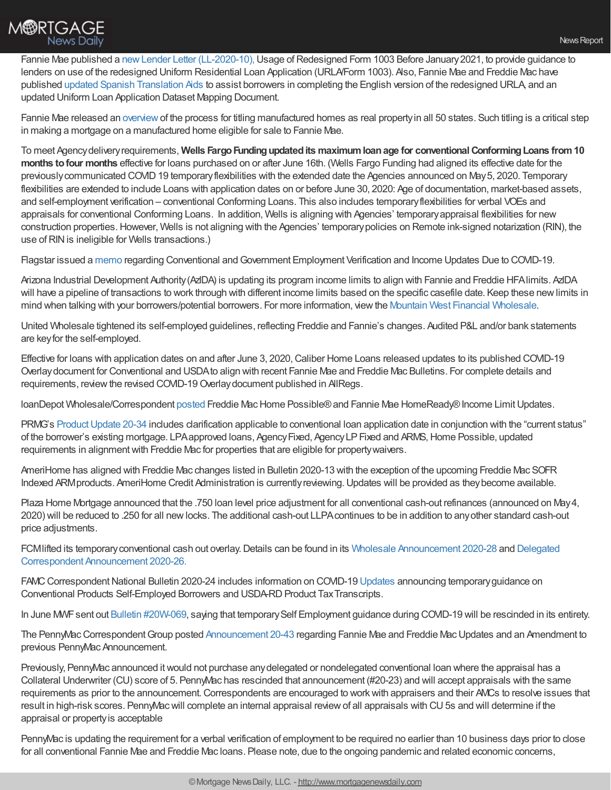

Fannie Mae published a new Lender Letter [\(LL-2020-10\),](https://singlefamily.fanniemae.com/media/23296/display) Usage of Redesigned Form 1003 Before January 2021, to provide guidance to lenders on use of the redesigned Uniform Residential Loan Application (URLA/Form 1003). Also, Fannie Mae and Freddie Mac have published updated Spanish [Translation](https://singlefamily.fanniemae.com/delivering/uniform-mortgage-data-program/uniform-residential-loan-application?utm_campaign=ssn-sell2019iss&utm_source=sfsfmc&utm_medium=email&utm_content=eml-noa-070120a-o-n&utm_term=b2b) Aids to assist borrowers in completing the English version of the redesigned URLA, and an updated Uniform Loan Application Dataset Mapping Document.

Fannie Mae released an [overview](https://singlefamily.fanniemae.com/media/18186/display)of the process for titling manufactured homes as real propertyin all 50 states. Such titling is a critical step in making a mortgage on a manufactured home eligible for sale to Fannie Mae.

To meet Agencydeliveryrequirements, **Wells FargoFundingupdatedits maximumloanage for conventionalConformingLoans from10 months tofour months** effective for loans purchased on or after June 16th. (Wells Fargo Funding had aligned its effective date for the previously communicated COVID19 temporary flexibilities with the extended date the Agencies announced on May 5, 2020. Temporary flexibilities are extended to include Loans with application dates on or before June 30, 2020: Age of documentation, market-based assets, and self-employment verification – conventional Conforming Loans. This also includes temporaryflexibilities for verbal VOEs and appraisals for conventional Conforming Loans. In addition, Wells is aligning with Agencies' temporaryappraisal flexibilities for new construction properties.However, Wells is not aligning with the Agencies' temporarypolicies on Remote ink-signed notarization (RIN), the use of RIN is ineligible for Wells transactions.)

Flagstar issued a [memo](https://www.flagstar.com/content/dam/tpo/sellers-guide/announcements/20033.pdf) regarding Conventional and Government Employment Verification and Income Updates Due to COVID-19.

Arizona Industrial Development Authority(AzIDA) is updating its program income limits to align with Fannie and Freddie HFAlimits. AzIDA will have a pipeline of transactions to work through with different income limits based on the specific casefile date. Keep these newlimits in mind when talking with your borrowers/potential borrowers. For more information, viewthe Mountain West Financial [Wholesale.](https://mwfwholesale.com/loan-products/affordable-housing/)

United Wholesale tightened its self-employed guidelines, reflecting Freddie and Fannie's changes. Audited P&L and/or bank statements are keyfor the self-employed.

Effective for loans with application dates on and after June 3, 2020, Caliber Home Loans released updates to its published COVID-19 Overlaydocument for Conventional and USDAto align with recent Fannie Mae and Freddie Mac Bulletins. For complete details and requirements, review the revised COVID-19 Overlay document published in AllRegs.

loanDepot Wholesale/Correspondent [posted](https://portal.ldwholesale.com/portaldocs/communication/LDW_WNTW_06_29_20.pdf) Freddie Mac Home Possible® and Fannie Mae HomeReady® Income Limit Updates.

PRMG's Product Update 20-34 includes clarification applicable to conventional loan application date in conjunction with the "current status" of the borrower's existing mortgage. LPA approved loans, Agency Fixed, Agency LP Fixed and ARMS, Home Possible, updated requirements in alignmentwith Freddie Mac for properties that are eligible for propertywaivers.

AmeriHome has aligned with Freddie Mac changes listed in Bulletin 2020-13 with the exception of the upcoming Freddie Mac SOFR Indexed ARMproducts. AmeriHome Credit Administration is currentlyreviewing.Updates will be provided as theybecome available.

Plaza Home Mortgage announced that the .750 loan level price adjustment for all conventional cash-out refinances (announced on May4, 2020) will be reduced to .250 for all newlocks. The additional cash-out LLPAcontinues to be in addition to anyother standard cash-out price adjustments.

FCM lifted its temporary conventional cash out overlay. Details can be found in its Wholesale [Announcement](https://kc.fcmpartners.com/wp-content/uploads/2020/06/2020-28-Wholesale-Announcement.pdf) 2020-28 and Delegated Correspondent Announcement 2020-26.

FAMC Correspondent National Bulletin 2020-24 includes information on COVID-19 [Updates](https://www.franklinamerican.com/lending-partners/correspondent) announcing temporary guidance on Conventional Products Self-Employed Borrowers and USDA-RD Product Tax Transcripts.

In June MWF sent out Bulletin [#20W-069,](https://mwfwholesale.com/wp-content/uploads/2020/06/Wholesale-Bulletin-20W-079-Rescinding-20W-069-Temporary-Self-Employment-Guidance-During-COVID-19.pdf) saying that temporary Self Employment guidance during COVID-19 will be rescinded in its entirety.

The PennyMacCorrespondentGroup posted [Announcement](https://www.gopennymac.com/announcements/announcement-20-43) 20-43 regarding Fannie Mae and Freddie MacUpdates and an Amendment to previous PennyMac Announcement.

Previously, PennyMac announced itwould not purchase anydelegated or nondelegated conventional loan where the appraisal has a Collateral Underwriter (CU) score of 5. PennyMac has rescinded that announcement (#20-23) and will accept appraisals with the same requirements as prior to the announcement.Correspondents are encouraged to workwith appraisers and their AMCs to resolve issues that result in high-risk scores. PennyMacwill complete an internal appraisal reviewof all appraisals with CU5s and will determine if the appraisal or propertyis acceptable

PennyMac is updating the requirement for a verbal verification of employment to be required no earlier than 10 business days prior to close for all conventional Fannie Mae and Freddie Mac loans. Please note, due to the ongoing pandemic and related economic concerns,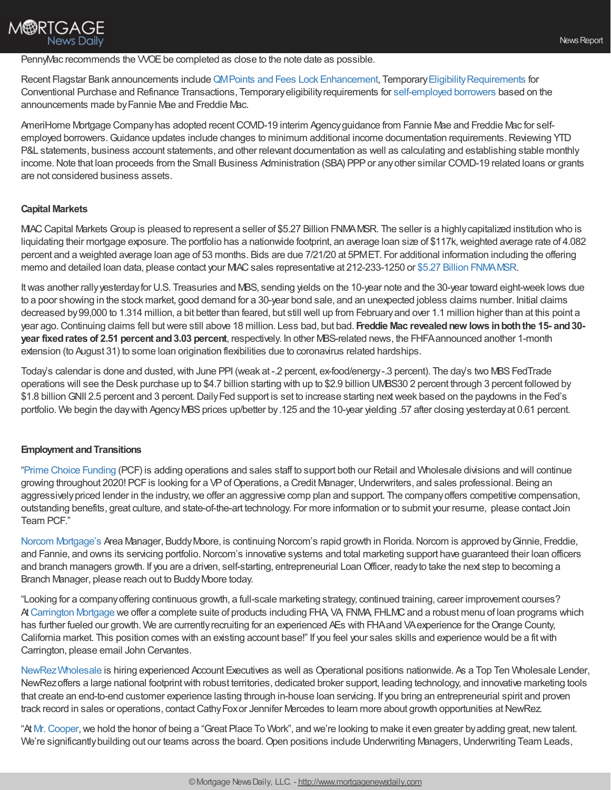PennyMac recommends the WOE be completed as close to the note date as possible.

Recent Flagstar Bank announcements include QM Points and Fees Lock [Enhancement,](https://www.flagstar.com/content/dam/tpo/sellers-guide/announcements/20065.pdf) Temporary Eligibility Requirements for Conventional Purchase and Refinance Transactions, Temporaryeligibilityrequirements for [self-employed](https://www.flagstar.com/content/dam/tpo/sellers-guide/announcements/20067.pdf) borrowers based on the announcements made byFannie Mae and Freddie Mac.

AmeriHome Mortgage Company has adopted recent COVID-19 interim Agency guidance from Fannie Mae and Freddie Mac for selfemployed borrowers. Guidance updates include changes to minimum additional income documentation requirements. Reviewing YTD P&L statements, business account statements, and other relevant documentation as well as calculating and establishing stable monthly income. Note that loan proceeds from the Small Business Administration (SBA) PPP or any other similar COVID-19 related loans or grants are not considered business assets.

#### **Capital Markets**

**M®RTGAGE** 

**News Daily** 

MIACCapital Markets Group is pleased to represent a seller of \$5.27 Billion FNMAMSR. The seller is a highlycapitalized institution who is liquidating their mortgage exposure. The portfolio has a nationwide footprint, an average loan size of \$117k, weighted average rate of 4.082 percent and a weighted average loan age of 53 months. Bids are due 7/21/20 at 5PMET. For additional information including the offering memo and detailed loan data, please contact your MIAC sales representative at 212-233-1250 or \$5.27 Billion FNMA MSR.

Itwas another rallyyesterdayfor U.S. Treasuries and MBS, sending yields on the 10-year note and the 30-year toward eight-week lows due to a poor showing in the stock market, good demand for a 30-year bond sale, and an unexpected jobless claims number. Initial claims decreased by99,000 to 1.314 million, a bit better than feared, but still well up from Februaryand over 1.1 million higher than at this point a year ago.Continuing claims fell butwere still above 18 million. Less bad, but bad. **Freddie Mac revealednew lows inboththe 15- and30 year fixedrates of 2.51 percent and3.03 percent**, respectively. In other MBS-related news, the FHFAannounced another 1-month extension (to August 31) to some loan origination flexibilities due to coronavirus related hardships.

Today's calendar is done and dusted, with June PPI (weak at -.2 percent, ex-food/energy-.3 percent). The day's two MBS FedTrade operations will see the Desk purchase up to \$4.7 billion starting with up to \$2.9 billion UMBS30 2 percent through 3 percent followed by \$1.8 billionGNII 2.5 percent and 3 percent.DailyFed support is set to increase starting nextweek based on the paydowns in the Fed's portfolio. We begin the day with Agency MBS prices up/better by .125 and the 10-year yielding .57 after closing yesterday at 0.61 percent.

#### **Employment and Transitions**

"Prime Choice [Funding](https://www.primechoicefunding.com/join-team-pcf/) (PCF) is adding operations and sales staff to support both our Retail and Wholesale divisions and will continue growing throughout 2020! PCF is looking for a VP of Operations, a Credit Manager, Underwriters, and sales professional. Being an aggressively priced lender in the industry, we offer an aggressive comp plan and support. The company offers competitive compensation, outstanding benefits, great culture, and state-of-the-art technology. For more information or to submit your resume, please contact Join Team PCF."

Norcom [Mortgage's](https://norcommortgage.com/) Area Manager, BuddyMoore, is continuing Norcom's rapid growth in Florida.Norcom is approved byGinnie, Freddie, and Fannie, and owns its servicing portfolio. Norcom's innovative systems and total marketing support have guaranteed their loan officers and branch managers growth. If you are a driven, self-starting, entrepreneurial Loan Officer, ready to take the next step to becoming a Branch Manager, please reach out to BuddyMoore today.

"Looking for a companyoffering continuous growth, a full-scale marketing strategy, continued training, career improvement courses? At [Carrington](https://careers-carringtonmh.icims.com/jobs/intro) Mortgage we offer a complete suite of products including FHA, VA, FNMA, FHLMC and a robust menu of loan programs which has further fueled our growth. We are currently recruiting for an experienced AEs with FHA and VA experience for the Orange County, California market. This position comes with an existing account base!" If you feel your sales skills and experience would be a fitwith Carrington, please email John Cervantes.

[NewRezWholesale](https://www.newrezwholesale.com/) is hiring experienced Account Executives as well as Operational positions nationwide. As a Top Ten Wholesale Lender, NewRezoffers a large national footprintwith robust territories, dedicated broker support, leading technology, and innovative marketing tools that create an end-to-end customer experience lasting through in-house loan servicing. If you bring an entrepreneurial spirit and proven track record in sales or operations, contact Cathy Fox or Jennifer Mercedes to learn more about growth opportunities at NewRez.

"At [Mr.Cooper,](https://www.mrcooper.com/about_us/purpose)we hold the honor of being a "Great Place To Work", and we're looking to make it even greater byadding great, newtalent. We're significantly building out our teams across the board. Open positions include Underwriting Managers, Underwriting Team Leads,